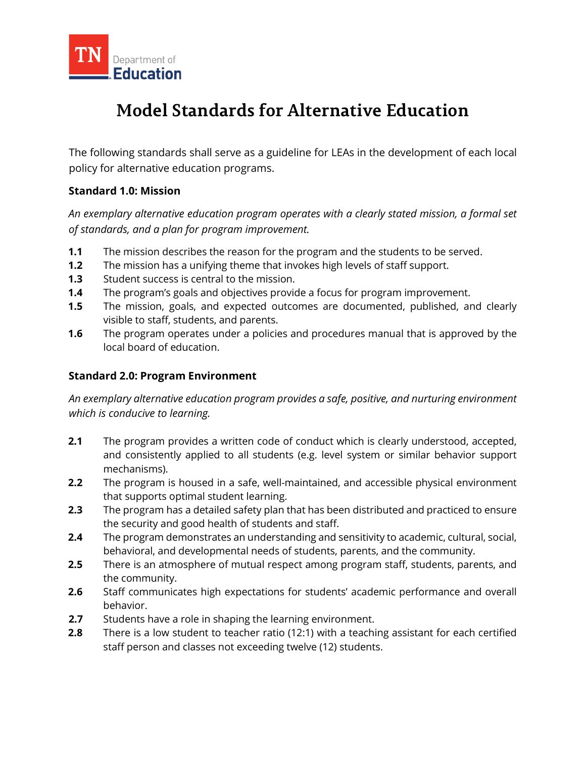

# **Model Standards for Alternative Education**

The following standards shall serve as a guideline for LEAs in the development of each local policy for alternative education programs.

## **Standard 1.0: Mission**

*An exemplary alternative education program operates with a clearly stated mission, a formal set of standards, and a plan for program improvement.*

- **1.1** The mission describes the reason for the program and the students to be served.
- **1.2** The mission has a unifying theme that invokes high levels of staff support.
- **1.3** Student success is central to the mission.
- **1.4** The program's goals and objectives provide a focus for program improvement.
- **1.5** The mission, goals, and expected outcomes are documented, published, and clearly visible to staff, students, and parents.
- **1.6** The program operates under a policies and procedures manual that is approved by the local board of education.

## **Standard 2.0: Program Environment**

*An exemplary alternative education program provides a safe, positive, and nurturing environment which is conducive to learning.*

- **2.1** The program provides a written code of conduct which is clearly understood, accepted, and consistently applied to all students (e.g. level system or similar behavior support mechanisms).
- **2.2** The program is housed in a safe, well-maintained, and accessible physical environment that supports optimal student learning.
- **2.3** The program has a detailed safety plan that has been distributed and practiced to ensure the security and good health of students and staff.
- **2.4** The program demonstrates an understanding and sensitivity to academic, cultural, social, behavioral, and developmental needs of students, parents, and the community.
- **2.5** There is an atmosphere of mutual respect among program staff, students, parents, and the community.
- **2.6** Staff communicates high expectations for students' academic performance and overall behavior.
- **2.7** Students have a role in shaping the learning environment.
- **2.8** There is a low student to teacher ratio (12:1) with a teaching assistant for each certified staff person and classes not exceeding twelve (12) students.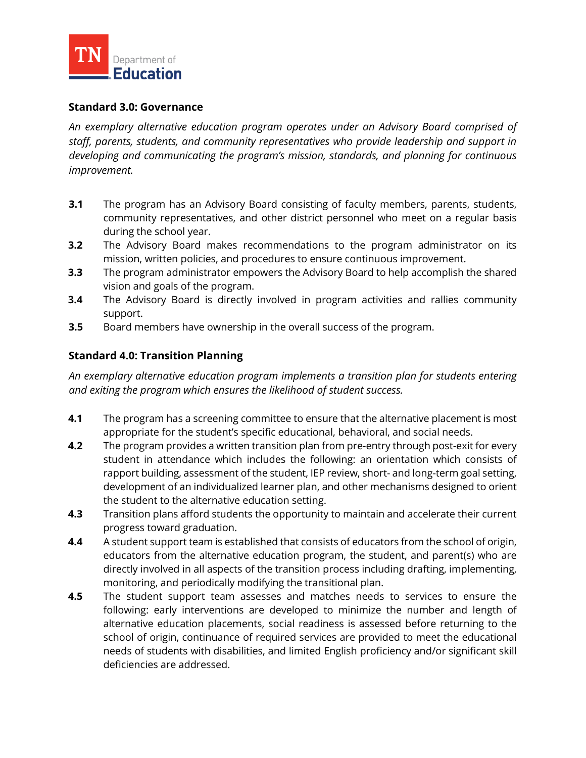

#### **Standard 3.0: Governance**

*An exemplary alternative education program operates under an Advisory Board comprised of staff, parents, students, and community representatives who provide leadership and support in developing and communicating the program's mission, standards, and planning for continuous improvement.*

- **3.1** The program has an Advisory Board consisting of faculty members, parents, students, community representatives, and other district personnel who meet on a regular basis during the school year.
- **3.2** The Advisory Board makes recommendations to the program administrator on its mission, written policies, and procedures to ensure continuous improvement.
- **3.3** The program administrator empowers the Advisory Board to help accomplish the shared vision and goals of the program.
- **3.4** The Advisory Board is directly involved in program activities and rallies community support.
- **3.5** Board members have ownership in the overall success of the program.

## **Standard 4.0: Transition Planning**

*An exemplary alternative education program implements a transition plan for students entering and exiting the program which ensures the likelihood of student success.*

- **4.1** The program has a screening committee to ensure that the alternative placement is most appropriate for the student's specific educational, behavioral, and social needs.
- **4.2** The program provides a written transition plan from pre-entry through post-exit for every student in attendance which includes the following: an orientation which consists of rapport building, assessment of the student, IEP review, short- and long-term goal setting, development of an individualized learner plan, and other mechanisms designed to orient the student to the alternative education setting.
- **4.3** Transition plans afford students the opportunity to maintain and accelerate their current progress toward graduation.
- **4.4** A student support team is established that consists of educators from the school of origin, educators from the alternative education program, the student, and parent(s) who are directly involved in all aspects of the transition process including drafting, implementing, monitoring, and periodically modifying the transitional plan.
- **4.5** The student support team assesses and matches needs to services to ensure the following: early interventions are developed to minimize the number and length of alternative education placements, social readiness is assessed before returning to the school of origin, continuance of required services are provided to meet the educational needs of students with disabilities, and limited English proficiency and/or significant skill deficiencies are addressed.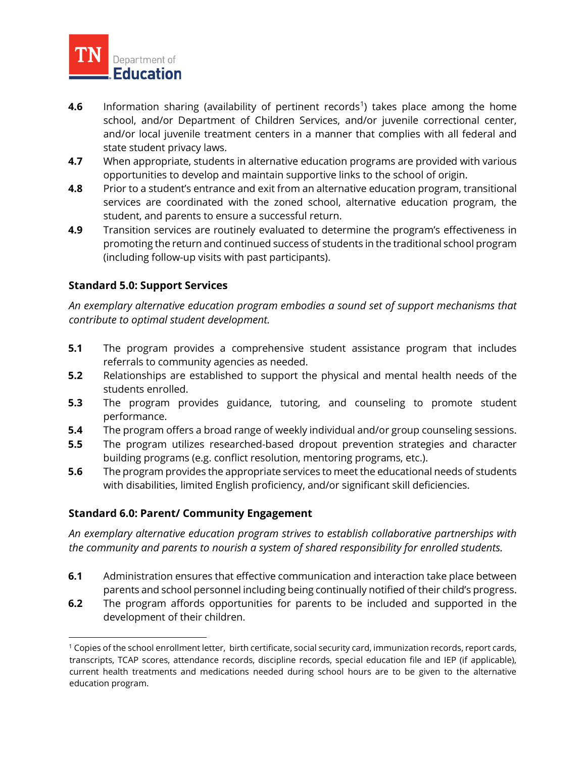

- **4.6** Information sharing (availability of pertinent records<sup>[1](#page-2-0)</sup>) takes place among the home school, and/or Department of Children Services, and/or juvenile correctional center, and/or local juvenile treatment centers in a manner that complies with all federal and state student privacy laws.
- **4.7** When appropriate, students in alternative education programs are provided with various opportunities to develop and maintain supportive links to the school of origin.
- **4.8** Prior to a student's entrance and exit from an alternative education program, transitional services are coordinated with the zoned school, alternative education program, the student, and parents to ensure a successful return.
- **4.9** Transition services are routinely evaluated to determine the program's effectiveness in promoting the return and continued success of students in the traditional school program (including follow-up visits with past participants).

## **Standard 5.0: Support Services**

*An exemplary alternative education program embodies a sound set of support mechanisms that contribute to optimal student development.*

- **5.1** The program provides a comprehensive student assistance program that includes referrals to community agencies as needed.
- **5.2** Relationships are established to support the physical and mental health needs of the students enrolled.
- **5.3** The program provides guidance, tutoring, and counseling to promote student performance.
- **5.4** The program offers a broad range of weekly individual and/or group counseling sessions.
- **5.5** The program utilizes researched-based dropout prevention strategies and character building programs (e.g. conflict resolution, mentoring programs, etc.).
- **5.6** The program provides the appropriate services to meet the educational needs of students with disabilities, limited English proficiency, and/or significant skill deficiencies.

## **Standard 6.0: Parent/ Community Engagement**

*An exemplary alternative education program strives to establish collaborative partnerships with the community and parents to nourish a system of shared responsibility for enrolled students.*

- **6.1** Administration ensures that effective communication and interaction take place between parents and school personnel including being continually notified of their child's progress.
- **6.2** The program affords opportunities for parents to be included and supported in the development of their children.

<span id="page-2-0"></span><sup>&</sup>lt;sup>1</sup> Copies of the school enrollment letter, birth certificate, social security card, immunization records, report cards, transcripts, TCAP scores, attendance records, discipline records, special education file and IEP (if applicable), current health treatments and medications needed during school hours are to be given to the alternative education program.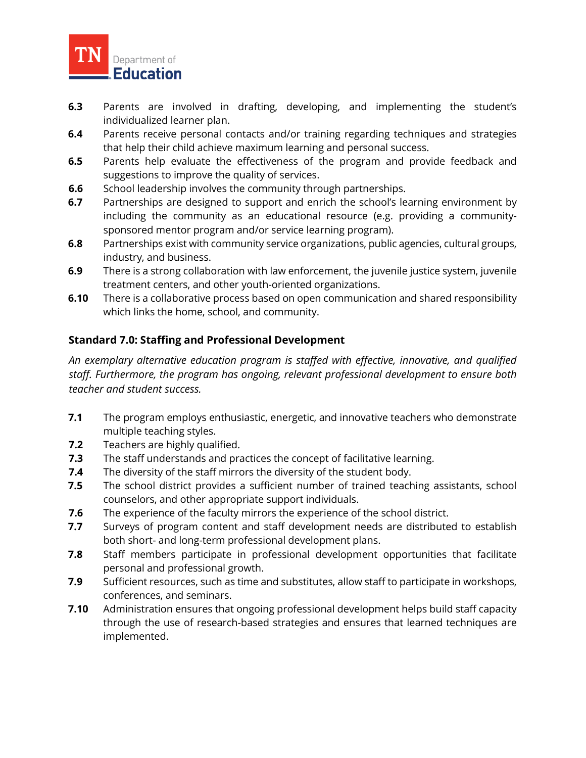

- **6.3** Parents are involved in drafting, developing, and implementing the student's individualized learner plan.
- **6.4** Parents receive personal contacts and/or training regarding techniques and strategies that help their child achieve maximum learning and personal success.
- **6.5** Parents help evaluate the effectiveness of the program and provide feedback and suggestions to improve the quality of services.
- **6.6** School leadership involves the community through partnerships.
- **6.7** Partnerships are designed to support and enrich the school's learning environment by including the community as an educational resource (e.g. providing a communitysponsored mentor program and/or service learning program).
- **6.8** Partnerships exist with community service organizations, public agencies, cultural groups, industry, and business.
- **6.9** There is a strong collaboration with law enforcement, the juvenile justice system, juvenile treatment centers, and other youth-oriented organizations.
- **6.10** There is a collaborative process based on open communication and shared responsibility which links the home, school, and community.

## **Standard 7.0: Staffing and Professional Development**

*An exemplary alternative education program is staffed with effective, innovative, and qualified staff. Furthermore, the program has ongoing, relevant professional development to ensure both teacher and student success.*

- **7.1** The program employs enthusiastic, energetic, and innovative teachers who demonstrate multiple teaching styles.
- **7.2** Teachers are highly qualified.
- **7.3** The staff understands and practices the concept of facilitative learning.
- **7.4** The diversity of the staff mirrors the diversity of the student body.
- **7.5** The school district provides a sufficient number of trained teaching assistants, school counselors, and other appropriate support individuals.
- **7.6** The experience of the faculty mirrors the experience of the school district.
- **7.7** Surveys of program content and staff development needs are distributed to establish both short- and long-term professional development plans.
- **7.8** Staff members participate in professional development opportunities that facilitate personal and professional growth.
- **7.9** Sufficient resources, such as time and substitutes, allow staff to participate in workshops, conferences, and seminars.
- **7.10** Administration ensures that ongoing professional development helps build staff capacity through the use of research-based strategies and ensures that learned techniques are implemented.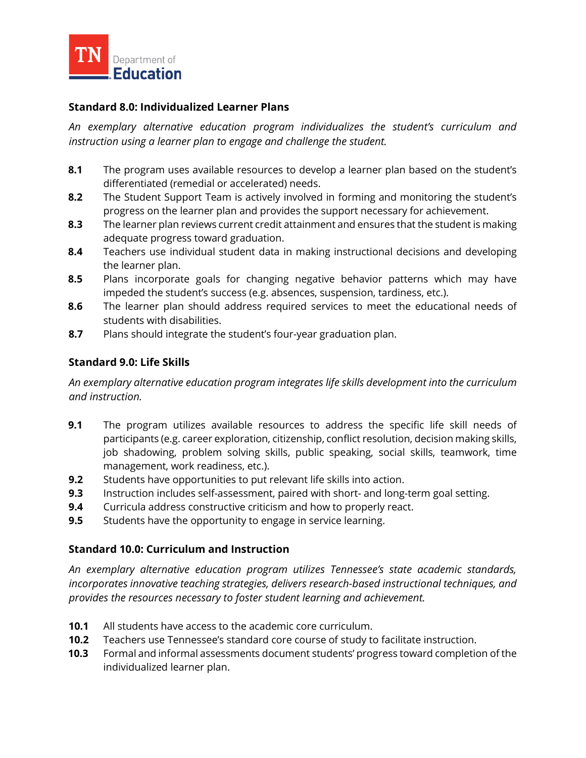

## **Standard 8.0: Individualized Learner Plans**

*An exemplary alternative education program individualizes the student's curriculum and instruction using a learner plan to engage and challenge the student.*

- **8.1** The program uses available resources to develop a learner plan based on the student's differentiated (remedial or accelerated) needs.
- **8.2** The Student Support Team is actively involved in forming and monitoring the student's progress on the learner plan and provides the support necessary for achievement.
- **8.3** The learner plan reviews current credit attainment and ensures that the student is making adequate progress toward graduation.
- **8.4** Teachers use individual student data in making instructional decisions and developing the learner plan.
- **8.5** Plans incorporate goals for changing negative behavior patterns which may have impeded the student's success (e.g. absences, suspension, tardiness, etc.).
- **8.6** The learner plan should address required services to meet the educational needs of students with disabilities.
- **8.7** Plans should integrate the student's four-year graduation plan.

#### **Standard 9.0: Life Skills**

*An exemplary alternative education program integrates life skills development into the curriculum and instruction.*

- **9.1** The program utilizes available resources to address the specific life skill needs of participants (e.g. career exploration, citizenship, conflict resolution, decision making skills, job shadowing, problem solving skills, public speaking, social skills, teamwork, time management, work readiness, etc.).
- **9.2** Students have opportunities to put relevant life skills into action.
- **9.3** Instruction includes self-assessment, paired with short- and long-term goal setting.
- **9.4** Curricula address constructive criticism and how to properly react.
- **9.5** Students have the opportunity to engage in service learning.

## **Standard 10.0: Curriculum and Instruction**

*An exemplary alternative education program utilizes Tennessee's state academic standards, incorporates innovative teaching strategies, delivers research-based instructional techniques, and provides the resources necessary to foster student learning and achievement.*

- **10.1** All students have access to the academic core curriculum.
- **10.2** Teachers use Tennessee's standard core course of study to facilitate instruction.
- **10.3** Formal and informal assessments document students' progress toward completion of the individualized learner plan.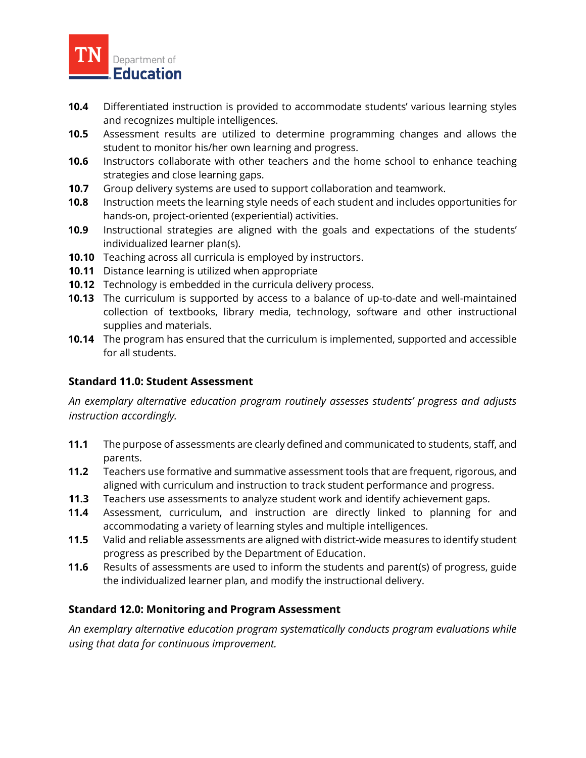

- **10.4** Differentiated instruction is provided to accommodate students' various learning styles and recognizes multiple intelligences.
- **10.5** Assessment results are utilized to determine programming changes and allows the student to monitor his/her own learning and progress.
- **10.6** Instructors collaborate with other teachers and the home school to enhance teaching strategies and close learning gaps.
- **10.7** Group delivery systems are used to support collaboration and teamwork.
- **10.8** Instruction meets the learning style needs of each student and includes opportunities for hands-on, project-oriented (experiential) activities.
- **10.9** Instructional strategies are aligned with the goals and expectations of the students' individualized learner plan(s).
- **10.10** Teaching across all curricula is employed by instructors.
- **10.11** Distance learning is utilized when appropriate
- **10.12** Technology is embedded in the curricula delivery process.
- **10.13** The curriculum is supported by access to a balance of up-to-date and well-maintained collection of textbooks, library media, technology, software and other instructional supplies and materials.
- **10.14** The program has ensured that the curriculum is implemented, supported and accessible for all students.

## **Standard 11.0: Student Assessment**

*An exemplary alternative education program routinely assesses students' progress and adjusts instruction accordingly.*

- **11.1** The purpose of assessments are clearly defined and communicated to students, staff, and parents.
- **11.2** Teachers use formative and summative assessment tools that are frequent, rigorous, and aligned with curriculum and instruction to track student performance and progress.
- **11.3** Teachers use assessments to analyze student work and identify achievement gaps.
- **11.4** Assessment, curriculum, and instruction are directly linked to planning for and accommodating a variety of learning styles and multiple intelligences.
- **11.5** Valid and reliable assessments are aligned with district-wide measures to identify student progress as prescribed by the Department of Education.
- **11.6** Results of assessments are used to inform the students and parent(s) of progress, guide the individualized learner plan, and modify the instructional delivery.

#### **Standard 12.0: Monitoring and Program Assessment**

*An exemplary alternative education program systematically conducts program evaluations while using that data for continuous improvement.*